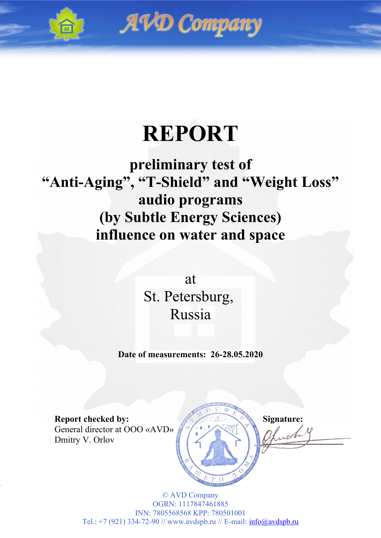

AVD Company

# **REPORT**

# **preliminary test of "Anti-Aging", "T-Shield" and "Weight Loss" audio programs (by Subtle Energy Sciences) influence on water and space**

at St. Petersburg, Russia

**Date of measurements: 26-28.05.2020**

General director at OOO «AVD» Dmitry V. Orlov

**Report checked by:** Signature: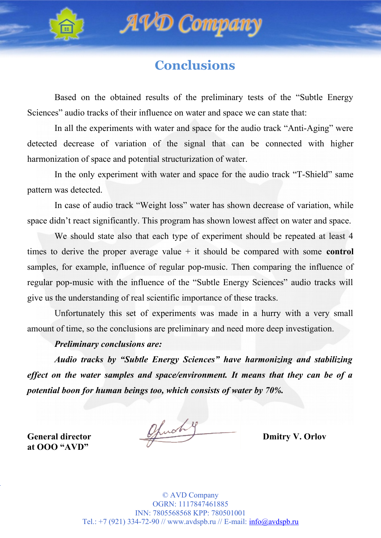



### **Conclusions**

Based on the obtained results of the preliminary tests of the "Subtle Energy Sciences" audio tracks of their influence on water and space we can state that:

In all the experiments with water and space for the audio track "Anti-Aging" were detected decrease of variation of the signal that can be connected with higher harmonization of space and potential structurization of water.

In the only experiment with water and space for the audio track "T-Shield" same pattern was detected.

In case of audio track "Weight loss" water has shown decrease of variation, while space didn't react significantly. This program has shown lowest affect on water and space.

We should state also that each type of experiment should be repeated at least 4 times to derive the proper average value + it should be compared with some **control** samples, for example, influence of regular pop-music. Then comparing the influence of regular pop-music with the influence of the "Subtle Energy Sciences" audio tracks will give us the understanding of real scientific importance of these tracks.

Unfortunately this set of experiments was made in a hurry with a very small amount of time, so the conclusions are preliminary and need more deep investigation.

#### *Preliminary conclusions are:*

*Audio tracks by "Subtle Energy Sciences" have harmonizing and stabilizing effect on the water samples and space/environment. It means that they can be of a potential boon for human beings too, which consists of water by 70%.*

**at OOO "AVD"**

General director **Church y** Dmitry V. Orlov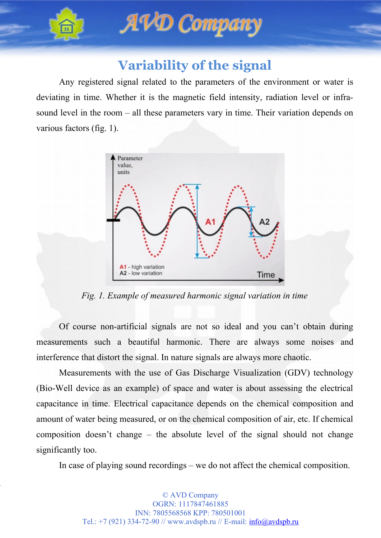



## **Variability of the signal**

Any registered signal related to the parameters of the environment or water is deviating in time. Whether it is the magnetic field intensity, radiation level or infrasound level in the room – all these parameters vary in time. Their variation depends on various factors (fig. 1).



*Fig. 1. Example of measured harmonic signal variation in time*

Of course non-artificial signals are not so ideal and you can't obtain during measurements such a beautiful harmonic. There are always some noises and interference that distort the signal. In nature signals are always more chaotic.

Measurements with the use of Gas Discharge Visualization (GDV) technology (Bio-Well device as an example) of space and water is about assessing the electrical capacitance in time. Electrical capacitance depends on the chemical composition and amount of water being measured, or on the chemical composition of air, etc. If chemical composition doesn't change – the absolute level of the signal should not change significantly too.

In case of playing sound recordings – we do not affect the chemical composition.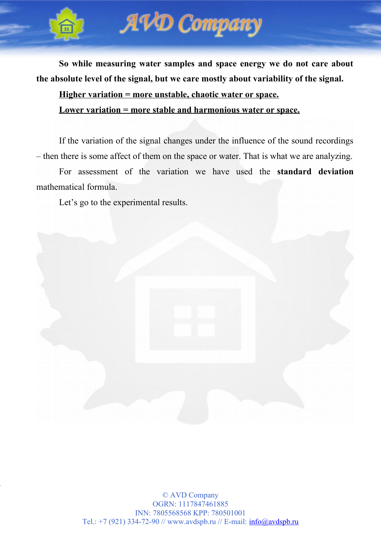



**So while measuring water samples and space energy we do not care about the absolute level of the signal, but we care mostly about variability of the signal.**

**Higher variation = more unstable, chaotic water or space.**

**Lower variation = more stable and harmonious water or space.**

If the variation of the signal changes under the influence of the sound recordings – then there is some affect of them on the space or water. That is what we are analyzing.

For assessment of the variation we have used the **standard deviation** mathematical formula.

Let's go to the experimental results.

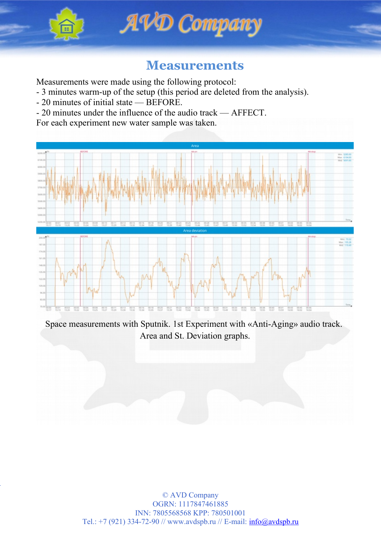



### **Measurements**

Measurements were made using the following protocol:

- 3 minutes warm-up of the setup (this period are deleted from the analysis).
- 20 minutes of initial state BEFORE.
- 20 minutes under the influence of the audio track AFFECT.

For each experiment new water sample was taken.



Space measurements with Sputnik. 1st Experiment with «Anti-Aging» audio track. Area and St. Deviation graphs.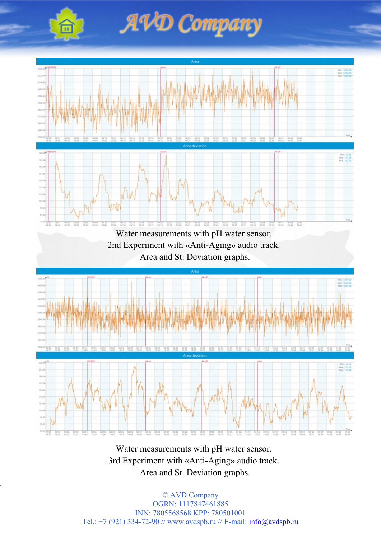

AVD Company



Water measurements with pH water sensor. 3rd Experiment with «Anti-Aging» audio track. Area and St. Deviation graphs.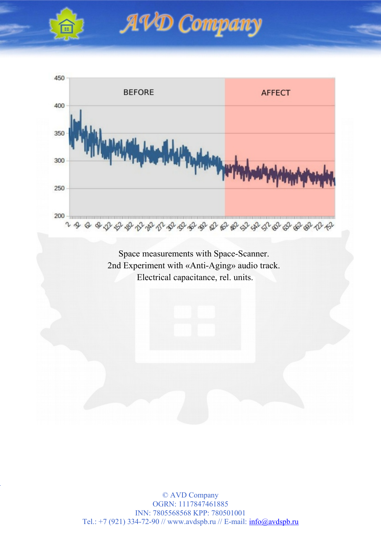





Space measurements with Space-Scanner. 2nd Experiment with «Anti-Aging» audio track. Electrical capacitance, rel. units.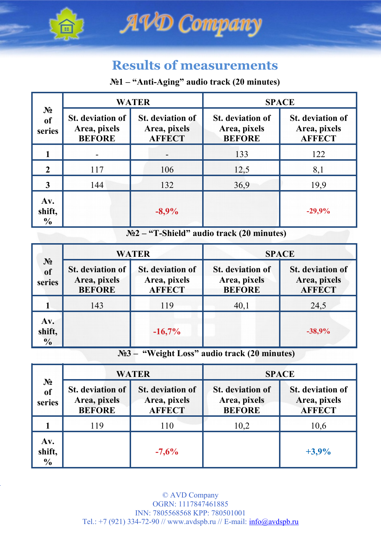



### **Results of measurements**

#### **№1 – "Anti-Aging" audio track (20 minutes)**

| $N_2$<br><sub>of</sub><br>series | <b>WATER</b>                                             |                                                          | <b>SPACE</b>                                             |                                                          |
|----------------------------------|----------------------------------------------------------|----------------------------------------------------------|----------------------------------------------------------|----------------------------------------------------------|
|                                  | <b>St.</b> deviation of<br>Area, pixels<br><b>BEFORE</b> | <b>St.</b> deviation of<br>Area, pixels<br><b>AFFECT</b> | <b>St.</b> deviation of<br>Area, pixels<br><b>BEFORE</b> | <b>St.</b> deviation of<br>Area, pixels<br><b>AFFECT</b> |
|                                  |                                                          |                                                          | 133                                                      | 122                                                      |
| $\mathbf{2}$                     | 117                                                      | 106                                                      | 12,5                                                     | 8,1                                                      |
| 3                                | 144                                                      | 132                                                      | 36,9                                                     | 19,9                                                     |
| Av.<br>shift,<br>$\frac{6}{9}$   |                                                          | $-8,9%$                                                  |                                                          | $-29,9%$                                                 |

**№2 – "T-Shield" audio track (20 minutes)**

| $N_2$<br>of<br>series          | <b>WATER</b>                                             |                                                          | <b>SPACE</b>                                             |                                                          |
|--------------------------------|----------------------------------------------------------|----------------------------------------------------------|----------------------------------------------------------|----------------------------------------------------------|
|                                | <b>St.</b> deviation of<br>Area, pixels<br><b>BEFORE</b> | <b>St.</b> deviation of<br>Area, pixels<br><b>AFFECT</b> | <b>St.</b> deviation of<br>Area, pixels<br><b>BEFORE</b> | <b>St.</b> deviation of<br>Area, pixels<br><b>AFFECT</b> |
|                                | 143                                                      | 119                                                      | 40,1                                                     | 24,5                                                     |
| Av.<br>shift,<br>$\frac{1}{2}$ |                                                          | $-16,7%$                                                 |                                                          | $-38,9%$                                                 |

**№3 – "Weight Loss" audio track (20 minutes)**

| $\mathbf{N_2}$<br>of<br>series | <b>WATER</b>                                             |                                                          | <b>SPACE</b>                                             |                                                          |
|--------------------------------|----------------------------------------------------------|----------------------------------------------------------|----------------------------------------------------------|----------------------------------------------------------|
|                                | <b>St.</b> deviation of<br>Area, pixels<br><b>BEFORE</b> | <b>St.</b> deviation of<br>Area, pixels<br><b>AFFECT</b> | <b>St.</b> deviation of<br>Area, pixels<br><b>BEFORE</b> | <b>St.</b> deviation of<br>Area, pixels<br><b>AFFECT</b> |
|                                | 119                                                      | 110                                                      | 10,2                                                     | 10,6                                                     |
| Av.<br>shift,<br>$\frac{6}{9}$ |                                                          | $-7,6%$                                                  |                                                          | $+3,9%$                                                  |